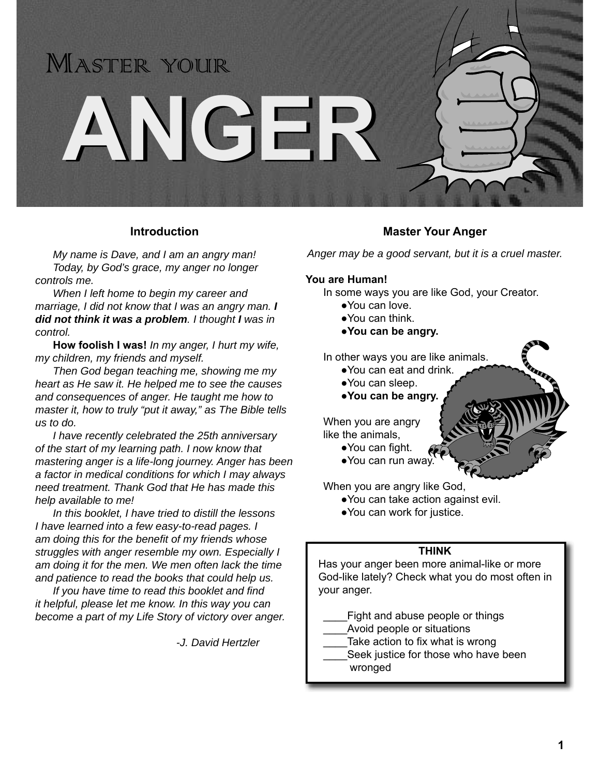

#### **Introduction**

*My name is Dave, and I am an angry man! Today, by God's grace, my anger no longer controls me.*

 *When I left home to begin my career and marriage, I did not know that I was an angry man. I did not think it was a problem. I thought I was in control.*

**How foolish I was!** *In my anger, I hurt my wife, my children, my friends and myself.* 

 *Then God began teaching me, showing me my heart as He saw it. He helped me to see the causes and consequences of anger. He taught me how to master it, how to truly "put it away," as The Bible tells us to do.*

 *I have recently celebrated the 25th anniversary of the start of my learning path. I now know that mastering anger is a life-long journey. Anger has been a factor in medical conditions for which I may always need treatment. Thank God that He has made this help available to me!*

 *In this booklet, I have tried to distill the lessons I have learned into a few easy-to-read pages. I am doing this for the benefit of my friends whose struggles with anger resemble my own. Especially I am doing it for the men. We men often lack the time and patience to read the books that could help us.* 

*If you have time to read this booklet and find it helpful, please let me know. In this way you can become a part of my Life Story of victory over anger.*

 *-J. David Hertzler*

#### **Master Your Anger**

*Anger may be a good servant, but it is a cruel master.*

#### **You are Human!**

In some ways you are like God, your Creator.

- ●You can love.
- ●You can think.
- **●You can be angry.**

In other ways you are like animals.

- ●You can eat and drink.
- ●You can sleep.
- **●You can be angry.**

 When you are angry like the animals,

- You can fight.
	- ●You can run away.

When you are angry like God,

- ●You can take action against evil.
- ●You can work for justice.

#### **THINK**

Has your anger been more animal-like or more God-like lately? Check what you do most often in your anger.

- Fight and abuse people or things
- Avoid people or situations
	- Take action to fix what is wrong
- Seek justice for those who have been wronged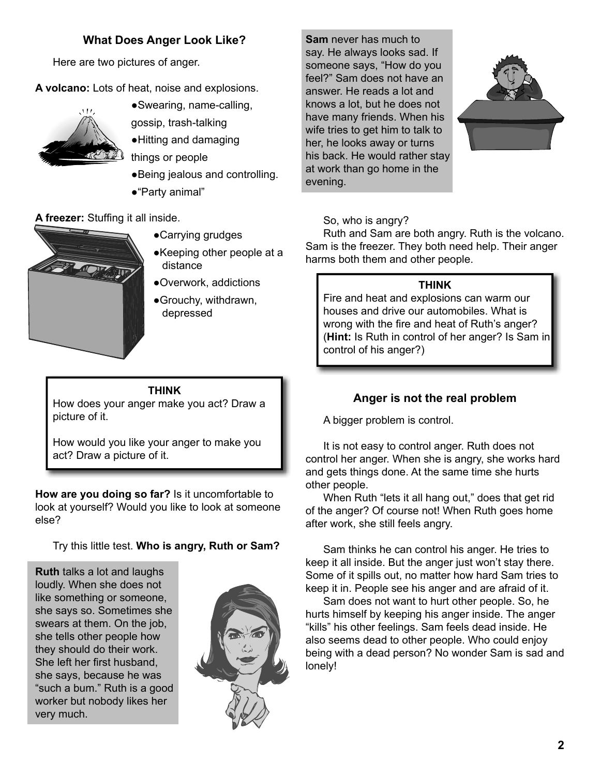# **What Does Anger Look Like?**

Here are two pictures of anger.

**A volcano:** Lots of heat, noise and explosions.



- ●Swearing, name-calling,
- gossip, trash-talking
- ●Hitting and damaging
- things or people
- ●Being jealous and controlling.
- ●"Party animal"

A freezer: Stuffing it all inside.



- ●Carrying grudges
- ●Keeping other people at a distance
- ●Overwork, addictions
- ●Grouchy, withdrawn, depressed

**THINK** How does your anger make you act? Draw a picture of it.

How would you like your anger to make you act? Draw a picture of it.

**How are you doing so far?** Is it uncomfortable to look at yourself? Would you like to look at someone else?

Try this little test. **Who is angry, Ruth or Sam?**

**Ruth** talks a lot and laughs loudly. When she does not like something or someone, she says so. Sometimes she swears at them. On the job, she tells other people how they should do their work. She left her first husband. she says, because he was "such a bum." Ruth is a good worker but nobody likes her very much.



**Sam** never has much to say. He always looks sad. If someone says, "How do you feel?" Sam does not have an answer. He reads a lot and knows a lot, but he does not have many friends. When his wife tries to get him to talk to her, he looks away or turns his back. He would rather stay at work than go home in the evening.



# So, who is angry?

 Ruth and Sam are both angry. Ruth is the volcano. Sam is the freezer. They both need help. Their anger harms both them and other people.

## **THINK**

Fire and heat and explosions can warm our houses and drive our automobiles. What is wrong with the fire and heat of Ruth's anger? (**Hint:** Is Ruth in control of her anger? Is Sam in control of his anger?)

# **Anger is not the real problem**

A bigger problem is control.

 It is not easy to control anger. Ruth does not control her anger. When she is angry, she works hard and gets things done. At the same time she hurts other people.

 When Ruth "lets it all hang out," does that get rid of the anger? Of course not! When Ruth goes home after work, she still feels angry.

 Sam thinks he can control his anger. He tries to keep it all inside. But the anger just won't stay there. Some of it spills out, no matter how hard Sam tries to keep it in. People see his anger and are afraid of it.

 Sam does not want to hurt other people. So, he hurts himself by keeping his anger inside. The anger "kills" his other feelings. Sam feels dead inside. He also seems dead to other people. Who could enjoy being with a dead person? No wonder Sam is sad and lonely!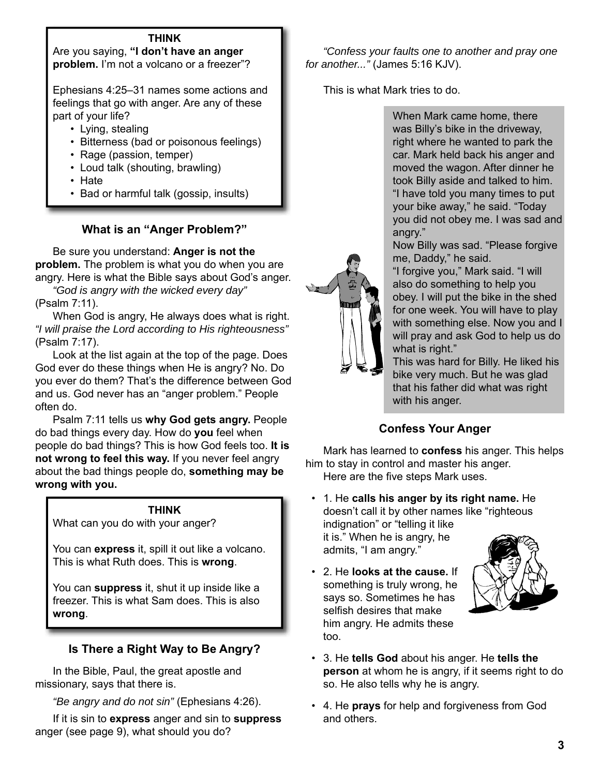#### **THINK**

Are you saying, **"I don't have an anger problem.** I'm not a volcano or a freezer"?

Ephesians 4:25–31 names some actions and feelings that go with anger. Are any of these part of your life?

- Lying, stealing
- Bitterness (bad or poisonous feelings)
- Rage (passion, temper)
- Loud talk (shouting, brawling)
- Hate
- Bad or harmful talk (gossip, insults)

### **What is an "Anger Problem?"**

 Be sure you understand: **Anger is not the problem.** The problem is what you do when you are angry. Here is what the Bible says about God's anger.

*"God is angry with the wicked every day"*  (Psalm 7:11).

 When God is angry, He always does what is right. *"I will praise the Lord according to His righteousness"*  (Psalm 7:17).

 Look at the list again at the top of the page. Does God ever do these things when He is angry? No. Do you ever do them? That's the difference between God and us. God never has an "anger problem." People often do.

 Psalm 7:11 tells us **why God gets angry.** People do bad things every day. How do **you** feel when people do bad things? This is how God feels too. **It is not wrong to feel this way.** If you never feel angry about the bad things people do, **something may be wrong with you.**

#### **THINK**

What can you do with your anger?

You can **express** it, spill it out like a volcano. This is what Ruth does. This is **wrong**.

You can **suppress** it, shut it up inside like a freezer. This is what Sam does. This is also **wrong**.

### **Is There a Right Way to Be Angry?**

 In the Bible, Paul, the great apostle and missionary, says that there is.

*"Be angry and do not sin"* (Ephesians 4:26).

 If it is sin to **express** anger and sin to **suppress** anger (see page 9), what should you do?

*"Confess your faults one to another and pray one for another..."* (James 5:16 KJV).

This is what Mark tries to do.

When Mark came home, there was Billy's bike in the driveway, right where he wanted to park the car. Mark held back his anger and moved the wagon. After dinner he took Billy aside and talked to him. "I have told you many times to put your bike away," he said. "Today you did not obey me. I was sad and angry."

Now Billy was sad. "Please forgive me, Daddy," he said.

"I forgive you," Mark said. "I will also do something to help you obey. I will put the bike in the shed for one week. You will have to play with something else. Now you and I will pray and ask God to help us do what is right."

This was hard for Billy. He liked his bike very much. But he was glad that his father did what was right with his anger.

# **Confess Your Anger**

 Mark has learned to **confess** his anger. This helps him to stay in control and master his anger. Here are the five steps Mark uses.

 • 1. He **calls his anger by its right name.** He doesn't call it by other names like "righteous indignation" or "telling it like it is." When he is angry, he admits, "I am angry."

 • 2. He **looks at the cause.** If something is truly wrong, he says so. Sometimes he has selfish desires that make him angry. He admits these too.



- 3. He **tells God** about his anger. He **tells the person** at whom he is angry, if it seems right to do so. He also tells why he is angry.
- 4. He **prays** for help and forgiveness from God and others.

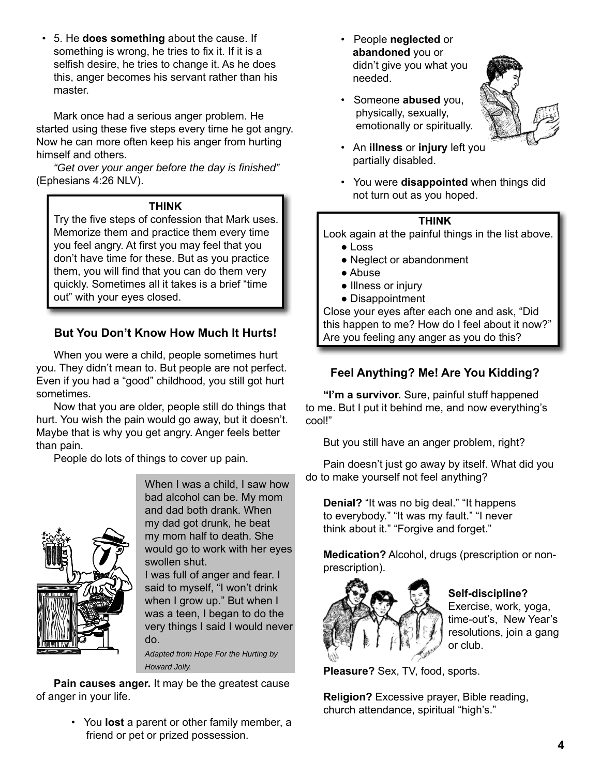• 5. He **does something** about the cause. If something is wrong, he tries to fix it. If it is a selfish desire, he tries to change it. As he does this, anger becomes his servant rather than his master.

 Mark once had a serious anger problem. He started using these five steps every time he got angry. Now he can more often keep his anger from hurting himself and others.

*"Get over your anger before the day is fi nished"* (Ephesians 4:26 NLV).

#### **THINK**

Try the five steps of confession that Mark uses. Memorize them and practice them every time you feel angry. At first you may feel that you don't have time for these. But as you practice them, you will find that you can do them very quickly. Sometimes all it takes is a brief "time out" with your eyes closed.

### **But You Don't Know How Much It Hurts!**

 When you were a child, people sometimes hurt you. They didn't mean to. But people are not perfect. Even if you had a "good" childhood, you still got hurt sometimes.

 Now that you are older, people still do things that hurt. You wish the pain would go away, but it doesn't. Maybe that is why you get angry. Anger feels better than pain.

People do lots of things to cover up pain.



When I was a child, I saw how bad alcohol can be. My mom and dad both drank. When my dad got drunk, he beat my mom half to death. She would go to work with her eyes swollen shut.

I was full of anger and fear. I said to myself, "I won't drink when I grow up." But when I was a teen, I began to do the very things I said I would never do.

*Adapted from Hope For the Hurting by Howard Jolly.*

**Pain causes anger.** It may be the greatest cause of anger in your life.

> • You **lost** a parent or other family member, a friend or pet or prized possession.

 • People **neglected** or **abandoned** you or didn't give you what you needed.



- Someone **abused** you, physically, sexually, emotionally or spiritually.
- An **illness** or **injury** left you partially disabled.
- You were **disappointed** when things did not turn out as you hoped.

#### **THINK**

Look again at the painful things in the list above.

- Loss
- Neglect or abandonment
- Abuse
- Illness or injury
- Disappointment

Close your eyes after each one and ask, "Did this happen to me? How do I feel about it now?" Are you feeling any anger as you do this?

## **Feel Anything? Me! Are You Kidding?**

**"I'm a survivor.** Sure, painful stuff happened to me. But I put it behind me, and now everything's cool!"

But you still have an anger problem, right?

 Pain doesn't just go away by itself. What did you do to make yourself not feel anything?

**Denial?** "It was no big deal." "It happens to everybody." "It was my fault." "I never think about it." "Forgive and forget."

**Medication?** Alcohol, drugs (prescription or nonprescription).



# **Self-discipline?**

Exercise, work, yoga, time-out's, New Year's resolutions, join a gang or club.

**Pleasure?** Sex, TV, food, sports.

**Religion?** Excessive prayer, Bible reading, church attendance, spiritual "high's."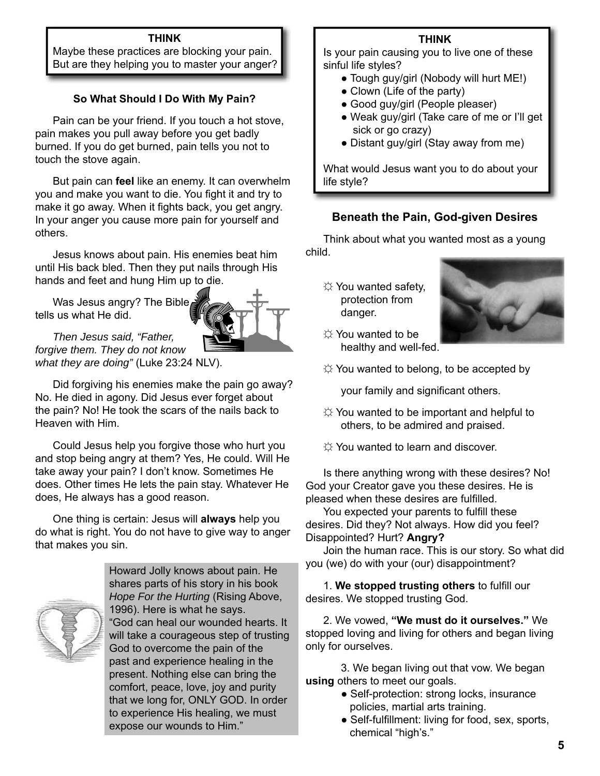#### **THINK**

Maybe these practices are blocking your pain. But are they helping you to master your anger?

### **So What Should I Do With My Pain?**

 Pain can be your friend. If you touch a hot stove, pain makes you pull away before you get badly burned. If you do get burned, pain tells you not to touch the stove again.

 But pain can **feel** like an enemy. It can overwhelm you and make you want to die. You fight it and try to make it go away. When it fights back, you get angry. In your anger you cause more pain for yourself and others.

 Jesus knows about pain. His enemies beat him until His back bled. Then they put nails through His hands and feet and hung Him up to die.

 Was Jesus angry? The Bible tells us what He did.



*Then Jesus said, "Father, forgive them. They do not know what they are doing"* (Luke 23:24 NLV).

 Did forgiving his enemies make the pain go away? No. He died in agony. Did Jesus ever forget about the pain? No! He took the scars of the nails back to Heaven with Him.

 Could Jesus help you forgive those who hurt you and stop being angry at them? Yes, He could. Will He take away your pain? I don't know. Sometimes He does. Other times He lets the pain stay. Whatever He does, He always has a good reason.

 One thing is certain: Jesus will **always** help you do what is right. You do not have to give way to anger that makes you sin.



Howard Jolly knows about pain. He shares parts of his story in his book *Hope For the Hurting* (Rising Above, 1996). Here is what he says. "God can heal our wounded hearts. It will take a courageous step of trusting God to overcome the pain of the past and experience healing in the present. Nothing else can bring the comfort, peace, love, joy and purity that we long for, ONLY GOD. In order to experience His healing, we must expose our wounds to Him."

#### **THINK**

Is your pain causing you to live one of these sinful life styles?

- Tough guy/girl (Nobody will hurt ME!)
- Clown (Life of the party)
- Good guy/girl (People pleaser)
- Weak guy/girl (Take care of me or I'll get sick or go crazy)
- Distant guy/girl (Stay away from me)

What would Jesus want you to do about your life style?

### **Beneath the Pain, God-given Desires**

 Think about what you wanted most as a young child.

☼ You wanted safety, protection from danger.



- ☼ You wanted to be healthy and well-fed.
- $\uplus$  You wanted to belong, to be accepted by

your family and significant others.

- $\uplus$  You wanted to be important and helpful to others, to be admired and praised.
- ☼ You wanted to learn and discover.

 Is there anything wrong with these desires? No! God your Creator gave you these desires. He is pleased when these desires are fulfilled.

You expected your parents to fulfill these desires. Did they? Not always. How did you feel? Disappointed? Hurt? **Angry?**

 Join the human race. This is our story. So what did you (we) do with your (our) disappointment?

1. We stopped trusting others to fulfill our desires. We stopped trusting God.

 2. We vowed, **"We must do it ourselves."** We stopped loving and living for others and began living only for ourselves.

 3. We began living out that vow. We began **using** others to meet our goals.

- Self-protection: strong locks, insurance policies, martial arts training.
- Self-fulfillment: living for food, sex, sports, chemical "high's."